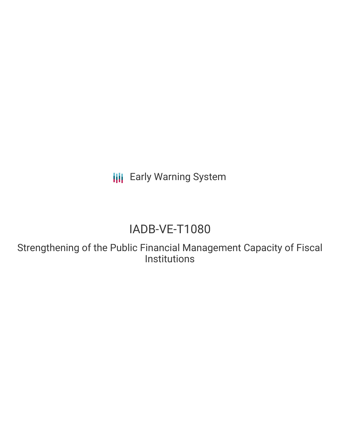**III** Early Warning System

# IADB-VE-T1080

Strengthening of the Public Financial Management Capacity of Fiscal Institutions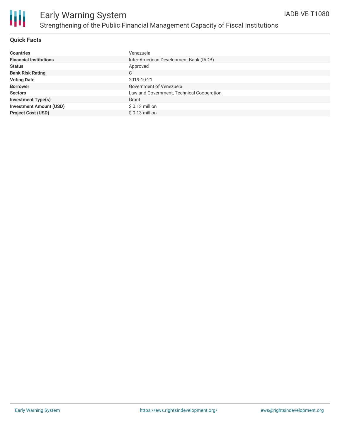

#### **Quick Facts**

| <b>Countries</b>               | Venezuela                                 |
|--------------------------------|-------------------------------------------|
| <b>Financial Institutions</b>  | Inter-American Development Bank (IADB)    |
| <b>Status</b>                  | Approved                                  |
| <b>Bank Risk Rating</b>        | С                                         |
| <b>Voting Date</b>             | 2019-10-21                                |
| <b>Borrower</b>                | Government of Venezuela                   |
| <b>Sectors</b>                 | Law and Government, Technical Cooperation |
| <b>Investment Type(s)</b>      | Grant                                     |
| <b>Investment Amount (USD)</b> | $$0.13$ million                           |
| <b>Project Cost (USD)</b>      | $$0.13$ million                           |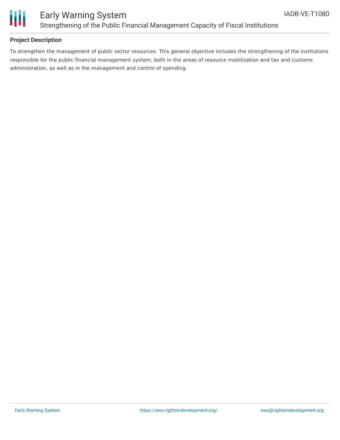

### **Project Description**

To strengthen the management of public sector resources. This general objective includes the strengthening of the institutions responsible for the public financial management system, both in the areas of resource mobilization and tax and customs administration, as well as in the management and control of spending.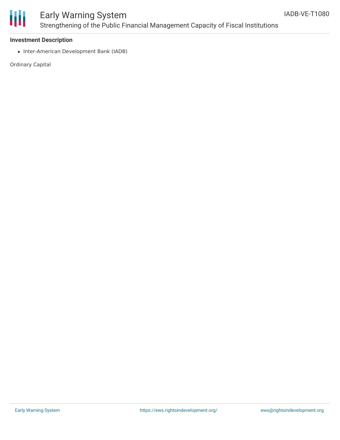

## Early Warning System Strengthening of the Public Financial Management Capacity of Fiscal Institutions

#### **Investment Description**

• Inter-American Development Bank (IADB)

Ordinary Capital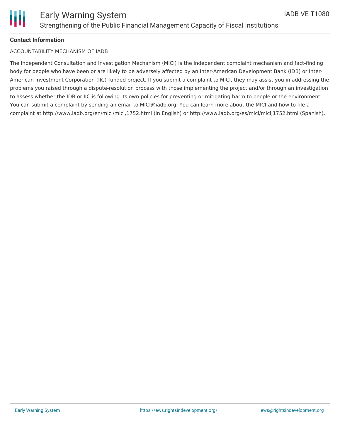

#### **Contact Information**

#### ACCOUNTABILITY MECHANISM OF IADB

The Independent Consultation and Investigation Mechanism (MICI) is the independent complaint mechanism and fact-finding body for people who have been or are likely to be adversely affected by an Inter-American Development Bank (IDB) or Inter-American Investment Corporation (IIC)-funded project. If you submit a complaint to MICI, they may assist you in addressing the problems you raised through a dispute-resolution process with those implementing the project and/or through an investigation to assess whether the IDB or IIC is following its own policies for preventing or mitigating harm to people or the environment. You can submit a complaint by sending an email to MICI@iadb.org. You can learn more about the MICI and how to file a complaint at http://www.iadb.org/en/mici/mici,1752.html (in English) or http://www.iadb.org/es/mici/mici,1752.html (Spanish).